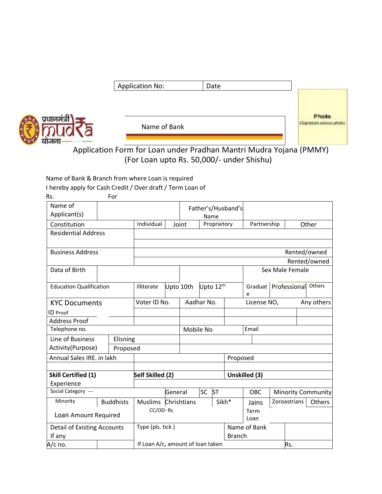|      | <b>Application No:</b> | Date |                                   |
|------|------------------------|------|-----------------------------------|
| त्री | Name of Bank           |      | Photo<br>(Signature across photo) |

Application Form for Loan under Pradhan Mantri Mudra Yojana (PMMY) (For Loan upto Rs. 50,000/- under Shishu)

Name of Bank & Branch from where Loan is required

प्रधानम

ग्राजना

I hereby apply for Cash Credit / Over draft / Term Loan of

| Rs.                            |  | For              |                     |           |                                   |                    |               |              |                        |  |              |                           |
|--------------------------------|--|------------------|---------------------|-----------|-----------------------------------|--------------------|---------------|--------------|------------------------|--|--------------|---------------------------|
| Name of                        |  |                  |                     |           |                                   | Father's/Husband's |               |              |                        |  |              |                           |
| Applicant(s)                   |  |                  |                     |           |                                   | Name               |               |              |                        |  |              |                           |
| Constitution                   |  |                  | Individual          |           | Proprietory<br>Joint              |                    |               |              | Partnership            |  | Other        |                           |
| <b>Residential Address</b>     |  |                  |                     |           |                                   |                    |               |              |                        |  |              |                           |
| <b>Business Address</b>        |  | Rented/owned     |                     |           |                                   |                    |               |              |                        |  |              |                           |
|                                |  |                  |                     |           |                                   |                    |               |              |                        |  |              | Rented/owned              |
| Data of Birth                  |  |                  |                     |           |                                   |                    |               |              | Sex Male Female        |  |              |                           |
| <b>Education Qualification</b> |  | Illiterate       |                     | Upto 10th | Upto 12th                         |                    |               | e            | Graduat   Professional |  | Others       |                           |
| <b>KYC Documents</b>           |  | Voter ID No.     |                     |           | Aadhar No.                        |                    |               | License NO,  |                        |  | Any others   |                           |
| <b>ID</b> Proof                |  |                  |                     |           |                                   |                    |               |              |                        |  |              |                           |
| <b>Address Proof</b>           |  |                  |                     |           |                                   |                    |               |              |                        |  |              |                           |
| Telephone no.                  |  |                  | Mobile No           |           |                                   |                    | Email         |              |                        |  |              |                           |
| Line of Business               |  | Elisning         |                     |           |                                   |                    |               |              |                        |  |              |                           |
| Activity(Purpose)              |  | Proposed         |                     |           |                                   |                    |               |              |                        |  |              |                           |
| Annual Sales IRE. in lakh      |  |                  |                     |           | Proposed                          |                    |               |              |                        |  |              |                           |
|                                |  |                  |                     |           |                                   |                    |               |              |                        |  |              |                           |
| <b>Skill Certified (1)</b>     |  |                  | Self Skilled (2)    |           |                                   |                    |               |              | Unskilled (3)          |  |              |                           |
| Experience                     |  |                  |                     |           |                                   |                    |               |              |                        |  |              |                           |
| Social Category ---            |  |                  |                     | General   |                                   | <b>SC</b>          | <b>ST</b>     |              | <b>OBC</b>             |  |              | <b>Minority Community</b> |
| Minority                       |  | <b>Buddhists</b> | Muslims Chrishtians |           |                                   |                    |               | Sikh*        | Jains                  |  | Zoroastrians | Others                    |
| Loan Amount Required           |  | CC/OD-Rs         |                     |           |                                   |                    | Term<br>Loan  |              |                        |  |              |                           |
| Detail of Existing Accounts    |  |                  | Type (pls. tick)    |           |                                   |                    |               | Name of Bank |                        |  |              |                           |
| If any                         |  |                  |                     |           |                                   |                    | <b>Branch</b> |              |                        |  |              |                           |
| A/c no.                        |  |                  |                     |           | If Loan A/c, amount of Ioan taken |                    |               |              | Rs.                    |  |              |                           |